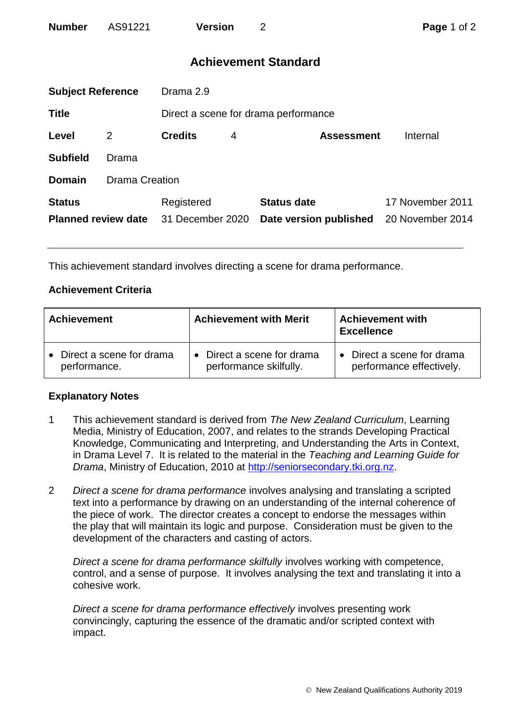| <b>Number</b> | AS91221 | <b>Version</b> | Page 1 of 2 |
|---------------|---------|----------------|-------------|
|               |         |                |             |

# **Achievement Standard**

| <b>Subject Reference</b>                    |                       | Drama 2.9                      |   |                                              |                                      |  |  |
|---------------------------------------------|-----------------------|--------------------------------|---|----------------------------------------------|--------------------------------------|--|--|
| <b>Title</b>                                |                       |                                |   | Direct a scene for drama performance         |                                      |  |  |
| Level                                       | 2                     | <b>Credits</b>                 | 4 | <b>Assessment</b>                            | Internal                             |  |  |
| <b>Subfield</b>                             | Drama                 |                                |   |                                              |                                      |  |  |
| <b>Domain</b>                               | <b>Drama Creation</b> |                                |   |                                              |                                      |  |  |
| <b>Status</b><br><b>Planned review date</b> |                       | Registered<br>31 December 2020 |   | <b>Status date</b><br>Date version published | 17 November 2011<br>20 November 2014 |  |  |

This achievement standard involves directing a scene for drama performance.

# **Achievement Criteria**

| <b>Achievement</b>                                    | <b>Achievement with Merit</b>                        | <b>Achievement with</b><br><b>Excellence</b>                      |  |
|-------------------------------------------------------|------------------------------------------------------|-------------------------------------------------------------------|--|
| Direct a scene for drama<br>$\bullet$<br>performance. | • Direct a scene for drama<br>performance skilfully. | Direct a scene for drama<br>$\bullet$<br>performance effectively. |  |

## **Explanatory Notes**

- 1 This achievement standard is derived from *The New Zealand Curriculum*, Learning Media, Ministry of Education, 2007, and relates to the strands Developing Practical Knowledge, Communicating and Interpreting, and Understanding the Arts in Context, in Drama Level 7. It is related to the material in the *Teaching and Learning Guide for Drama*, Ministry of Education, 2010 at [http://seniorsecondary.tki.org.nz.](http://seniorsecondary.tki.org.nz/)
- 2 *Direct a scene for drama performance* involves analysing and translating a scripted text into a performance by drawing on an understanding of the internal coherence of the piece of work. The director creates a concept to endorse the messages within the play that will maintain its logic and purpose. Consideration must be given to the development of the characters and casting of actors.

*Direct a scene for drama performance skilfully* involves working with competence, control, and a sense of purpose. It involves analysing the text and translating it into a cohesive work.

*Direct a scene for drama performance effectively* involves presenting work convincingly, capturing the essence of the dramatic and/or scripted context with impact.